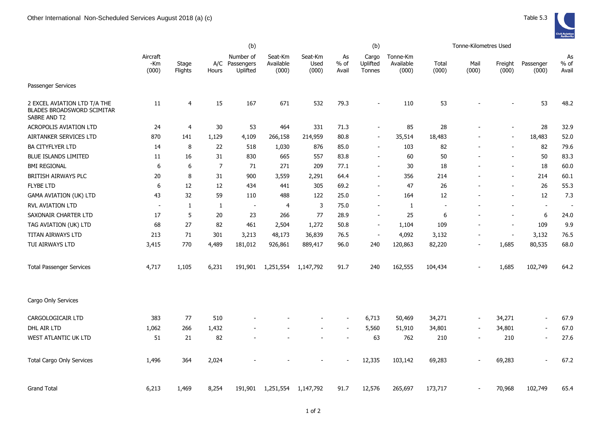|                                                                                   |                          |                  |                | (b)                                 |                               |                          |                       | (b)                         |                                |                | Tonne-Kilometres Used    |                          |                          |                       |
|-----------------------------------------------------------------------------------|--------------------------|------------------|----------------|-------------------------------------|-------------------------------|--------------------------|-----------------------|-----------------------------|--------------------------------|----------------|--------------------------|--------------------------|--------------------------|-----------------------|
|                                                                                   | Aircraft<br>-Km<br>(000) | Stage<br>Flights | A/C<br>Hours   | Number of<br>Passengers<br>Uplifted | Seat-Km<br>Available<br>(000) | Seat-Km<br>Used<br>(000) | As<br>$%$ of<br>Avail | Cargo<br>Uplifted<br>Tonnes | Tonne-Km<br>Available<br>(000) | Total<br>(000) | Mail<br>(000)            | Freight<br>(000)         | Passenger<br>(000)       | As<br>$%$ of<br>Avail |
| Passenger Services                                                                |                          |                  |                |                                     |                               |                          |                       |                             |                                |                |                          |                          |                          |                       |
| 2 EXCEL AVIATION LTD T/A THE<br><b>BLADES BROADSWORD SCIMITAR</b><br>SABRE AND T2 | 11                       | 4                | 15             | 167                                 | 671                           | 532                      | 79.3                  | $\overline{\phantom{m}}$    | 110                            | 53             |                          |                          | 53                       | 48.2                  |
| <b>ACROPOLIS AVIATION LTD</b>                                                     | 24                       | $\overline{4}$   | 30             | 53                                  | 464                           | 331                      | 71.3                  | $\blacksquare$              | 85                             | 28             |                          | $\overline{\phantom{a}}$ | 28                       | 32.9                  |
| AIRTANKER SERVICES LTD                                                            | 870                      | 141              | 1,129          | 4,109                               | 266,158                       | 214,959                  | 80.8                  | $\blacksquare$              | 35,514                         | 18,483         |                          | $\blacksquare$           | 18,483                   | 52.0                  |
| <b>BA CITYFLYER LTD</b>                                                           | 14                       | 8                | 22             | 518                                 | 1,030                         | 876                      | 85.0                  | $\overline{\phantom{a}}$    | 103                            | 82             |                          | $\overline{\phantom{0}}$ | 82                       | 79.6                  |
| <b>BLUE ISLANDS LIMITED</b>                                                       | 11                       | 16               | 31             | 830                                 | 665                           | 557                      | 83.8                  | $\blacksquare$              | 60                             | 50             |                          | $\overline{\phantom{0}}$ | 50                       | 83.3                  |
| <b>BMI REGIONAL</b>                                                               | 6                        | 6                | $\overline{7}$ | 71                                  | 271                           | 209                      | 77.1                  | $\overline{\phantom{a}}$    | 30                             | 18             |                          | $\overline{\phantom{a}}$ | 18                       | 60.0                  |
| BRITISH AIRWAYS PLC                                                               | 20                       | 8                | 31             | 900                                 | 3,559                         | 2,291                    | 64.4                  | $\blacksquare$              | 356                            | 214            |                          | $\overline{\phantom{a}}$ | 214                      | 60.1                  |
| <b>FLYBE LTD</b>                                                                  | 6                        | 12               | 12             | 434                                 | 441                           | 305                      | 69.2                  | $\blacksquare$              | 47                             | 26             |                          | $\blacksquare$           | 26                       | 55.3                  |
| <b>GAMA AVIATION (UK) LTD</b>                                                     | 43                       | 32               | 59             | 110                                 | 488                           | 122                      | 25.0                  | $\blacksquare$              | 164                            | 12             |                          | $\overline{\phantom{a}}$ | 12                       | 7.3                   |
| <b>RVL AVIATION LTD</b>                                                           | $\sim$                   | 1                | $\mathbf{1}$   | $\blacksquare$                      | 4                             | 3                        | 75.0                  | $\blacksquare$              | 1                              | $\blacksquare$ |                          | $\overline{\phantom{a}}$ | $\blacksquare$           | $\sim$                |
| SAXONAIR CHARTER LTD                                                              | 17                       | 5                | 20             | 23                                  | 266                           | 77                       | 28.9                  | $\sim$                      | 25                             | 6              |                          | $\sim$                   | 6                        | 24.0                  |
| TAG AVIATION (UK) LTD                                                             | 68                       | 27               | 82             | 461                                 | 2,504                         | 1,272                    | 50.8                  | $\overline{\phantom{a}}$    | 1,104                          | 109            |                          | $\blacksquare$           | 109                      | 9.9                   |
| <b>TITAN AIRWAYS LTD</b>                                                          | 213                      | 71               | 301            | 3,213                               | 48,173                        | 36,839                   | 76.5                  | $\overline{\phantom{a}}$    | 4,092                          | 3,132          | $\overline{\phantom{a}}$ | $\blacksquare$           | 3,132                    | 76.5                  |
| TUI AIRWAYS LTD                                                                   | 3,415                    | 770              | 4,489          | 181,012                             | 926,861                       | 889,417                  | 96.0                  | 240                         | 120,863                        | 82,220         | $\blacksquare$           | 1,685                    | 80,535                   | 68.0                  |
| <b>Total Passenger Services</b>                                                   | 4,717                    | 1,105            | 6,231          | 191,901                             | 1,251,554                     | 1,147,792                | 91.7                  | 240                         | 162,555                        | 104,434        |                          | 1,685                    | 102,749                  | 64.2                  |
| Cargo Only Services                                                               |                          |                  |                |                                     |                               |                          |                       |                             |                                |                |                          |                          |                          |                       |
| CARGOLOGICAIR LTD                                                                 | 383                      | 77               | 510            |                                     |                               | $\overline{\phantom{a}}$ | $\blacksquare$        | 6,713                       | 50,469                         | 34,271         | $\overline{\phantom{a}}$ | 34,271                   | $\overline{\phantom{a}}$ | 67.9                  |
| DHL AIR LTD                                                                       | 1,062                    | 266              | 1,432          |                                     |                               |                          |                       | 5,560                       | 51,910                         | 34,801         | $\overline{\phantom{a}}$ | 34,801                   | $\overline{\phantom{a}}$ | 67.0                  |
| WEST ATLANTIC UK LTD                                                              | 51                       | 21               | 82             |                                     |                               |                          |                       | 63                          | 762                            | 210            | $\overline{\phantom{a}}$ | 210                      | $\blacksquare$           | 27.6                  |
| <b>Total Cargo Only Services</b>                                                  | 1,496                    | 364              | 2,024          |                                     |                               |                          |                       | 12,335                      | 103,142                        | 69,283         |                          | 69,283                   |                          | 67.2                  |
| <b>Grand Total</b>                                                                | 6,213                    | 1,469            | 8,254          | 191,901                             | 1,251,554                     | 1,147,792                | 91.7                  | 12,576                      | 265,697                        | 173,717        |                          | 70,968                   | 102,749                  | 65.4                  |